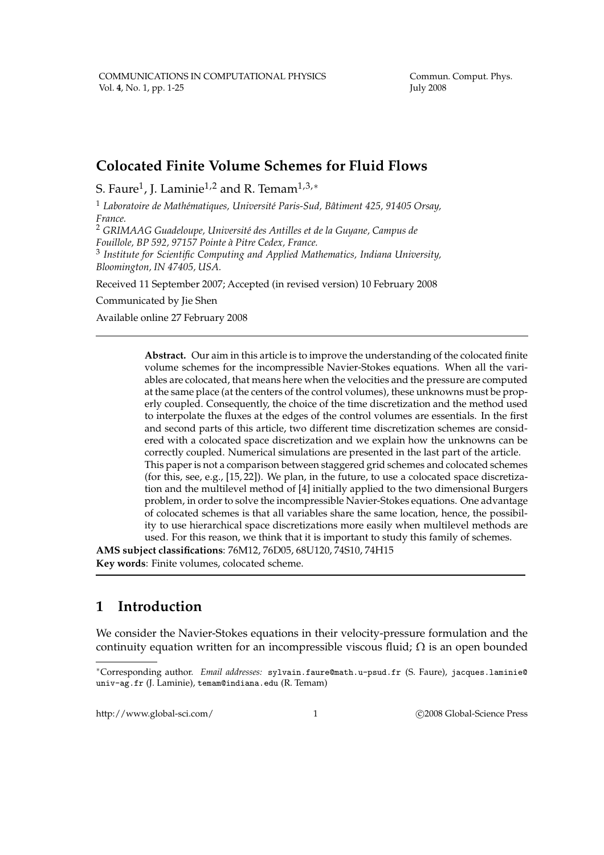Commun. Comput. Phys. July 2008

## **Colocated Finite Volume Schemes for Fluid Flows**

S. Faure $^1$ , J. Laminie $^{1,2}$  and R. Temam $^{1,3,*}$ 

<sup>1</sup> Laboratoire de Mathématiques, Université Paris-Sud, Bâtiment 425, 91405 Orsay, *France.*

<sup>2</sup> GRIMAAG Guadeloupe, Université des Antilles et de la Guyane, Campus de *Fouillole, BP 592, 97157 Pointe `a Pitre Cedex, France.*

3 *Institute for Scientific Computing and Applied Mathematics, Indiana University, Bloomington, IN 47405, USA.*

Received 11 September 2007; Accepted (in revised version) 10 February 2008

Communicated by Jie Shen

Available online 27 February 2008

**Abstract.** Our aim in this article is to improve the understanding of the colocated finite volume schemes for the incompressible Navier-Stokes equations. When all the variables are colocated, that means here when the velocities and the pressure are computed at the same place (at the centers of the control volumes), these unknowns must be properly coupled. Consequently, the choice of the time discretization and the method used to interpolate the fluxes at the edges of the control volumes are essentials. In the first and second parts of this article, two different time discretization schemes are considered with a colocated space discretization and we explain how the unknowns can be correctly coupled. Numerical simulations are presented in the last part of the article. This paper is not a comparison between staggered grid schemes and colocated schemes (for this, see, e.g.,  $[15, 22]$ ). We plan, in the future, to use a colocated space discretization and the multilevel method of [4] initially applied to the two dimensional Burgers problem, in order to solve the incompressible Navier-Stokes equations. One advantage of colocated schemes is that all variables share the same location, hence, the possibility to use hierarchical space discretizations more easily when multilevel methods are used. For this reason, we think that it is important to study this family of schemes.

**AMS subject classifications**: 76M12, 76D05, 68U120, 74S10, 74H15 **Key words**: Finite volumes, colocated scheme.

## **1 Introduction**

We consider the Navier-Stokes equations in their velocity-pressure formulation and the continuity equation written for an incompressible viscous fluid;  $\Omega$  is an open bounded

http://www.global-sci.com/ 1 c 2008 Global-Science Press

<sup>∗</sup>Corresponding author. *Email addresses:* sylvain.faure@math.u-psud.fr (S. Faure), jacques.laminie@ univ-ag.fr (J. Laminie), temam@indiana.edu (R. Temam)